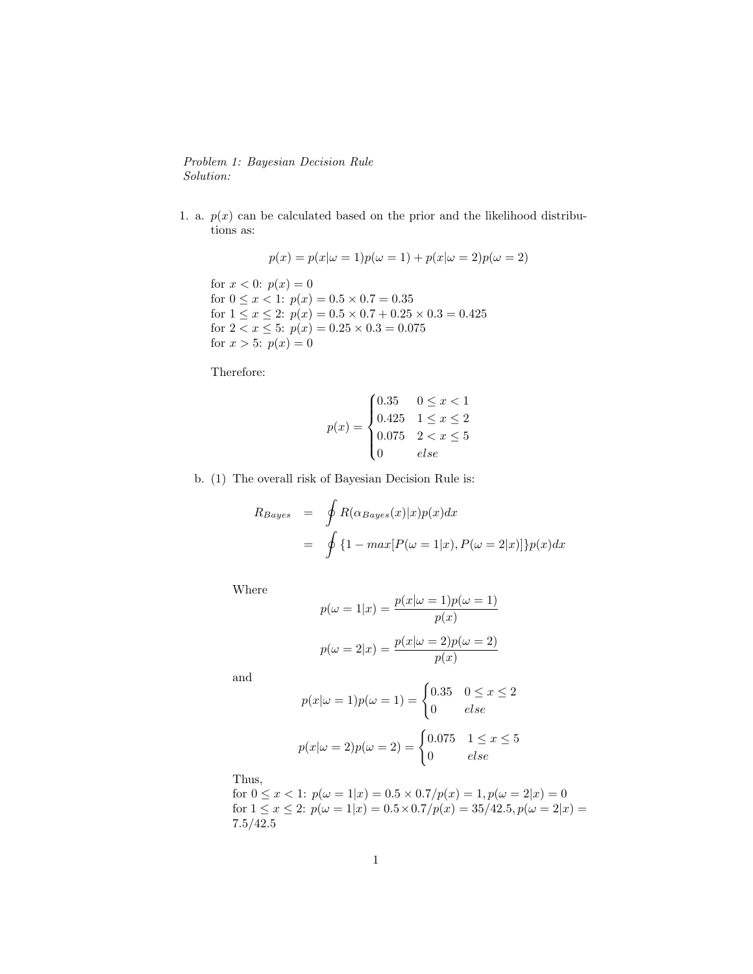## Problem 1: Bayesian Decision Rule Solution:

1. a.  $p(x)$  can be calculated based on the prior and the likelihood distributions as:

$$
p(x) = p(x|\omega = 1)p(\omega = 1) + p(x|\omega = 2)p(\omega = 2)
$$

for  $x < 0$ :  $p(x) = 0$ for  $0 \leq x < 1$ :  $p(x) = 0.5 \times 0.7 = 0.35$ for  $1 \le x \le 2$ :  $p(x) = 0.5 \times 0.7 + 0.25 \times 0.3 = 0.425$ for  $2 < x \leq 5$ :  $p(x) = 0.25 \times 0.3 = 0.075$ for  $x > 5$ :  $p(x) = 0$ 

Therefore:

$$
p(x) = \begin{cases} 0.35 & 0 \le x < 1 \\ 0.425 & 1 \le x \le 2 \\ 0.075 & 2 < x \le 5 \\ 0 & else \end{cases}
$$

b. (1) The overall risk of Bayesian Decision Rule is:

$$
R_{Bayes} = \oint R(\alpha_{Bayes}(x)|x)p(x)dx
$$
  
= 
$$
\oint \{1 - max[P(\omega = 1|x), P(\omega = 2|x)]\}p(x)dx
$$

Where

$$
p(\omega = 1|x) = \frac{p(x|\omega = 1)p(\omega = 1)}{p(x)}
$$

$$
p(\omega = 2|x) = \frac{p(x|\omega = 2)p(\omega = 2)}{p(x)}
$$

and

$$
p(x|\omega = 1)p(\omega = 1) = \begin{cases} 0.35 & 0 \le x \le 2\\ 0 & else \end{cases}
$$

$$
p(x|\omega = 2)p(\omega = 2) = \begin{cases} 0.075 & 1 \le x \le 5\\ 0 & else \end{cases}
$$

Thus,

for  $0 \le x < 1$ :  $p(\omega = 1|x) = 0.5 \times 0.7/p(x) = 1, p(\omega = 2|x) = 0$ for  $1 \le x \le 2$ :  $p(\omega = 1|x) = 0.5 \times 0.7/p(x) = 35/42.5, p(\omega = 2|x) =$ 7.5/42.5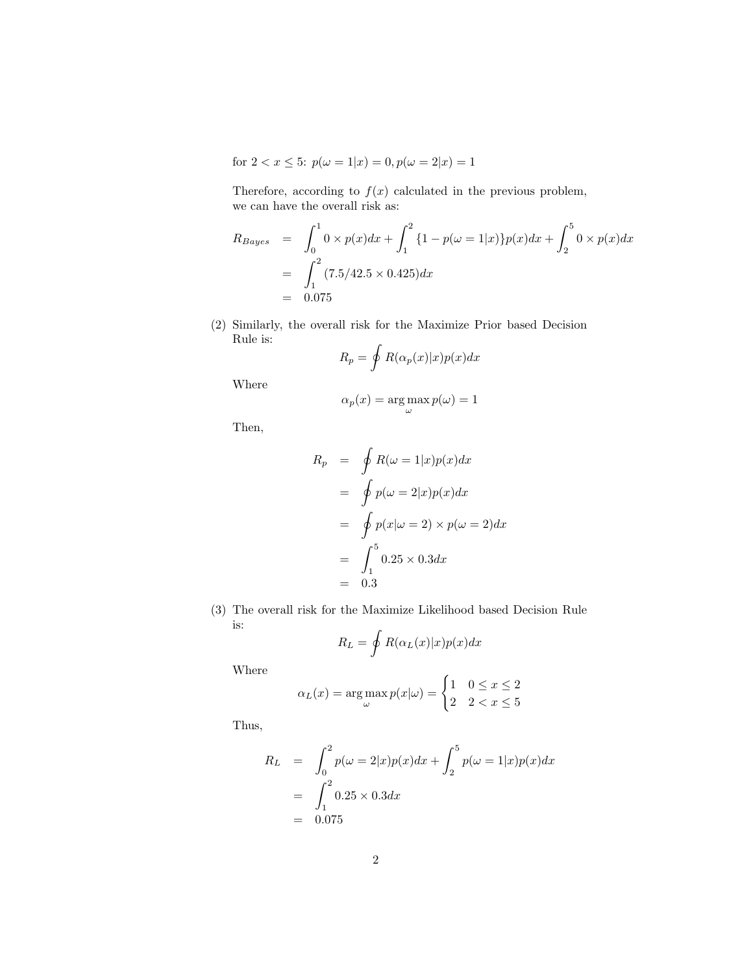for  $2 < x \leq 5$ :  $p(\omega = 1|x) = 0, p(\omega = 2|x) = 1$ 

Therefore, according to  $f(x)$  calculated in the previous problem, we can have the overall risk as:

$$
R_{Bayes} = \int_0^1 0 \times p(x) dx + \int_1^2 \{1 - p(\omega = 1|x)\} p(x) dx + \int_2^5 0 \times p(x) dx
$$
  
= 
$$
\int_1^2 (7.5/42.5 \times 0.425) dx
$$
  
= 0.075

(2) Similarly, the overall risk for the Maximize Prior based Decision Rule is:

$$
R_p = \oint R(\alpha_p(x)|x)p(x)dx
$$

Where

$$
\alpha_p(x) = \arg\max_{\omega} p(\omega) = 1
$$

Then,

$$
R_p = \oint R(\omega = 1|x)p(x)dx
$$
  
= 
$$
\oint p(\omega = 2|x)p(x)dx
$$
  
= 
$$
\oint p(x|\omega = 2) \times p(\omega = 2)dx
$$
  
= 
$$
\int_1^5 0.25 \times 0.3dx
$$
  
= 0.3

(3) The overall risk for the Maximize Likelihood based Decision Rule is:

$$
R_L = \oint R(\alpha_L(x)|x)p(x)dx
$$

Where

$$
\alpha_L(x) = \argmax_{\omega} p(x|\omega) = \begin{cases} 1 & 0 \le x \le 2 \\ 2 & 2 < x \le 5 \end{cases}
$$

Thus,

$$
R_L = \int_0^2 p(\omega = 2|x)p(x)dx + \int_2^5 p(\omega = 1|x)p(x)dx
$$
  
= 
$$
\int_1^2 0.25 \times 0.3 dx
$$
  
= 0.075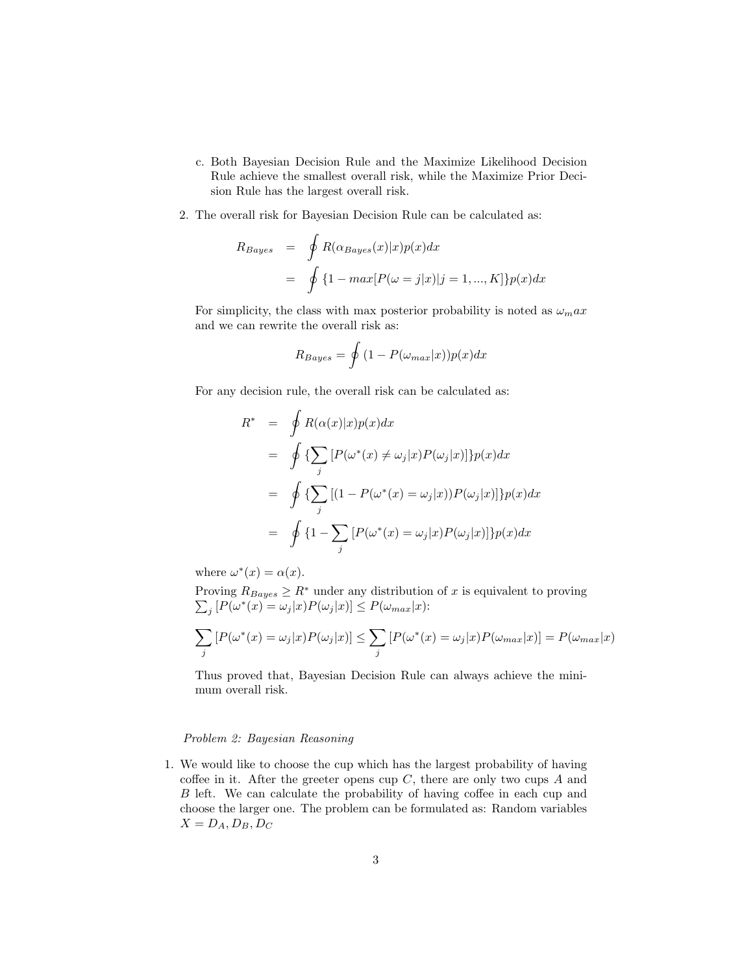- c. Both Bayesian Decision Rule and the Maximize Likelihood Decision Rule achieve the smallest overall risk, while the Maximize Prior Decision Rule has the largest overall risk.
- 2. The overall risk for Bayesian Decision Rule can be calculated as:

$$
R_{Bayes} = \oint R(\alpha_{Bayes}(x)|x)p(x)dx
$$
  
= 
$$
\oint \{1 - max[P(\omega = j|x)|j = 1, ..., K]\}p(x)dx
$$

For simplicity, the class with max posterior probability is noted as  $\omega_m a x$ and we can rewrite the overall risk as:

$$
R_{Bayes} = \oint (1 - P(\omega_{max}|x))p(x)dx
$$

For any decision rule, the overall risk can be calculated as:

$$
R^* = \oint R(\alpha(x)|x)p(x)dx
$$
  
\n
$$
= \oint \left\{ \sum_j \left[ P(\omega^*(x) \neq \omega_j | x) P(\omega_j | x) \right] \right\} p(x)dx
$$
  
\n
$$
= \oint \left\{ \sum_j \left[ (1 - P(\omega^*(x) = \omega_j | x)) P(\omega_j | x) \right] \right\} p(x)dx
$$
  
\n
$$
= \oint \left\{ 1 - \sum_j \left[ P(\omega^*(x) = \omega_j | x) P(\omega_j | x) \right] \right\} p(x)dx
$$

where  $\omega^*(x) = \alpha(x)$ .

Proving  $R_{Bayes} \geq R^*$ P under any distribution of  $x$  is equivalent to proving  $j [P(\omega^*(x) = \omega_j | x) P(\omega_j | x)] \le P(\omega_{max} | x)$ :

$$
\sum_{j} [P(\omega^*(x) = \omega_j | x) P(\omega_j | x)] \le \sum_{j} [P(\omega^*(x) = \omega_j | x) P(\omega_{max} | x)] = P(\omega_{max} | x)
$$

Thus proved that, Bayesian Decision Rule can always achieve the minimum overall risk.

## Problem 2: Bayesian Reasoning

1. We would like to choose the cup which has the largest probability of having coffee in it. After the greeter opens cup  $C$ , there are only two cups  $A$  and B left. We can calculate the probability of having coffee in each cup and choose the larger one. The problem can be formulated as: Random variables  $X = D_A, D_B, D_C$